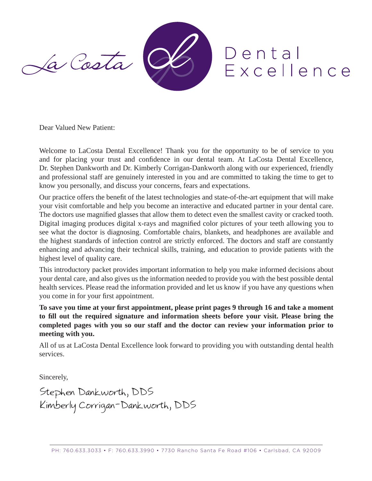La Costa



# Dental Excellence

Dear Valued New Patient:

Welcome to LaCosta Dental Excellence! Thank you for the opportunity to be of service to you and for placing your trust and confidence in our dental team. At LaCosta Dental Excellence, Dr. Stephen Dankworth and Dr. Kimberly Corrigan-Dankworth along with our experienced, friendly and professional staff are genuinely interested in you and are committed to taking the time to get to know you personally, and discuss your concerns, fears and expectations.

Our practice offers the benefit of the latest technologies and state-of-the-art equipment that will make your visit comfortable and help you become an interactive and educated partner in your dental care. The doctors use magnified glasses that allow them to detect even the smallest cavity or cracked tooth. Digital imaging produces digital x-rays and magnified color pictures of your teeth allowing you to see what the doctor is diagnosing. Comfortable chairs, blankets, and headphones are available and the highest standards of infection control are strictly enforced. The doctors and staff are constantly enhancing and advancing their technical skills, training, and education to provide patients with the highest level of quality care.

This introductory packet provides important information to help you make informed decisions about your dental care, and also gives us the information needed to provide you with the best possible dental health services. Please read the information provided and let us know if you have any questions when you come in for your first appointment.

To save you time at your first appointment, please print pages 9 through 16 and take a moment to fill out the required signature and information sheets before your visit. Please bring the **completed pages with you so our staff and the doctor can review your information prior to meeting with you.**

All of us at LaCosta Dental Excellence look forward to providing you with outstanding dental health services.

Sincerely,

Stephen Dankworth, DDS Kimberly Corrigan-Dankworth, DDS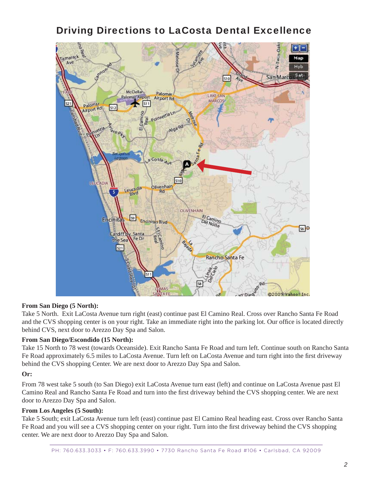# Driving Directions to LaCosta Dental Excellence



#### **From San Diego (5 North):**

Take 5 North. Exit LaCosta Avenue turn right (east) continue past El Camino Real. Cross over Rancho Santa Fe Road and the CVS shopping center is on your right. Take an immediate right into the parking lot. Our office is located directly behind CVS, next door to Arezzo Day Spa and Salon.

#### **From San Diego/Escondido (15 North):**

Take 15 North to 78 west (towards Oceanside). Exit Rancho Santa Fe Road and turn left. Continue south on Rancho Santa Fe Road approximately 6.5 miles to LaCosta Avenue. Turn left on LaCosta Avenue and turn right into the first driveway behind the CVS shopping Center. We are next door to Arezzo Day Spa and Salon.

#### **Or:**

From 78 west take 5 south (to San Diego) exit LaCosta Avenue turn east (left) and continue on LaCosta Avenue past El Camino Real and Rancho Santa Fe Road and turn into the first driveway behind the CVS shopping center. We are next door to Arezzo Day Spa and Salon.

#### **From Los Angeles (5 South):**

Take 5 South; exit LaCosta Avenue turn left (east) continue past El Camino Real heading east. Cross over Rancho Santa Fe Road and you will see a CVS shopping center on your right. Turn into the first driveway behind the CVS shopping center. We are next door to Arezzo Day Spa and Salon.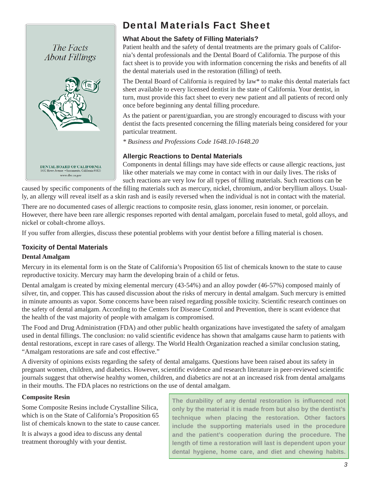

# Dental Materials Fact Sheet

## **What About the Safety of Filling Materials?**

Patient health and the safety of dental treatments are the primary goals of California's dental professionals and the Dental Board of California. The purpose of this fact sheet is to provide you with information concerning the risks and benefits of all the dental materials used in the restoration (filling) of teeth.

The Dental Board of California is required by law\* to make this dental materials fact sheet available to every licensed dentist in the state of California. Your dentist, in turn, must provide this fact sheet to every new patient and all patients of record only once before beginning any dental filling procedure.

As the patient or parent/guardian, you are strongly encouraged to discuss with your dentist the facts presented concerning the filling materials being considered for your particular treatment.

*\* Business and Professions Code 1648.10-1648.20*

### **Allergic Reactions to Dental Materials**

Components in dental fillings may have side effects or cause allergic reactions, just like other materials we may come in contact with in our daily lives. The risks of such reactions are very low for all types of filling materials. Such reactions can be

caused by specific components of the filling materials such as mercury, nickel, chromium, and/or beryllium alloys. Usually, an allergy will reveal itself as a skin rash and is easily reversed when the individual is not in contact with the material.

There are no documented cases of allergic reactions to composite resin, glass ionomer, resin ionomer, or porcelain. However, there have been rare allergic responses reported with dental amalgam, porcelain fused to metal, gold alloys, and nickel or cobalt-chrome alloys.

If you suffer from allergies, discuss these potential problems with your dentist before a filling material is chosen.

### **Toxicity of Dental Materials**

#### **Dental Amalgam**

Mercury in its elemental form is on the State of California's Proposition 65 list of chemicals known to the state to cause reproductive toxicity. Mercury may harm the developing brain of a child or fetus.

Dental amalgam is created by mixing elemental mercury (43-54%) and an alloy powder (46-57%) composed mainly of silver, tin, and copper. This has caused discussion about the risks of mercury in dental amalgam. Such mercury is emitted in minute amounts as vapor. Some concerns have been raised regarding possible toxicity. Scientific research continues on the safety of dental amalgam. According to the Centers for Disease Control and Prevention, there is scant evidence that the health of the vast majority of people with amalgam is compromised.

The Food and Drug Administration (FDA) and other public health organizations have investigated the safety of amalgam used in dental fillings. The conclusion: no valid scientific evidence has shown that amalgams cause harm to patients with dental restorations, except in rare cases of allergy. The World Health Organization reached a similar conclusion stating, "Amalgam restorations are safe and cost effective."

A diversity of opinions exists regarding the safety of dental amalgams. Questions have been raised about its safety in pregnant women, children, and diabetics. However, scientific evidence and research literature in peer-reviewed scientific journals suggest that otherwise healthy women, children, and diabetics are not at an increased risk from dental amalgams in their mouths. The FDA places no restrictions on the use of dental amalgam.

#### **Composite Resin**

Some Composite Resins include Crystalline Silica, which is on the State of California's Proposition 65 list of chemicals known to the state to cause cancer.

It is always a good idea to discuss any dental treatment thoroughly with your dentist.

The durability of any dental restoration is influenced not **only by the material it is made from but also by the dentist's technique when placing the restoration. Other factors include the supporting materials used in the procedure and the patient's cooperation during the procedure. The length of time a restoration will last is dependent upon your dental hygiene, home care, and diet and chewing habits.**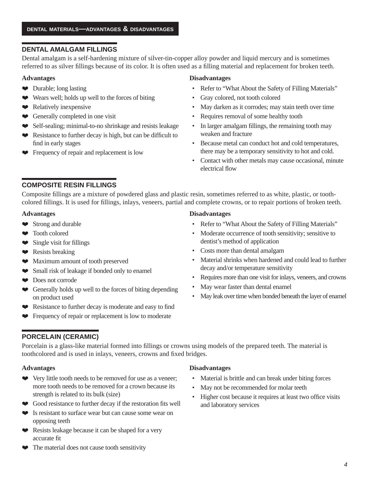### **DENTAL AMALGAM FILLINGS**

Dental amalgam is a self-hardening mixture of silver-tin-copper alloy powder and liquid mercury and is sometimes referred to as silver fillings because of its color. It is often used as a filling material and replacement for broken teeth.

#### **Advantages**

- ◆ Durable; long lasting
- Wears well; holds up well to the forces of biting
- Relatively inexpensive
- **←** Generally completed in one visit
- Self-sealing; minimal-to-no shrinkage and resists leakage
- Resistance to further decay is high, but can be difficult to find in early stages
- Frequency of repair and replacement is low

#### **Disadvantages**

- Refer to "What About the Safety of Filling Materials"
- Gray colored, not tooth colored
- May darken as it corrodes; may stain teeth over time
- Requires removal of some healthy tooth
- In larger amalgam fillings, the remaining tooth may weaken and fracture
- Because metal can conduct hot and cold temperatures, there may be a temporary sensitivity to hot and cold.
- Contact with other metals may cause occasional, minute electrical flow

### **COMPOSITE RESIN FILLINGS**

Composite fillings are a mixture of powdered glass and plastic resin, sometimes referred to as white, plastic, or toothcolored fillings. It is used for fillings, inlays, veneers, partial and complete crowns, or to repair portions of broken teeth.

#### **Advantages**

- **►** Strong and durable
- $\bullet$  Tooth colored
- $\bullet$  Single visit for fillings
- **►** Resists breaking
- $\bullet$  Maximum amount of tooth preserved
- Small risk of leakage if bonded only to enamel
- $\bullet$  Does not corrode
- Generally holds up well to the forces of biting depending on product used
- Resistance to further decay is moderate and easy to find
- Frequency of repair or replacement is low to moderate

#### **Disadvantages**

- Refer to "What About the Safety of Filling Materials"
- Moderate occurrence of tooth sensitivity; sensitive to dentist's method of application
- Costs more than dental amalgam
- Material shrinks when hardened and could lead to further decay and/or temperature sensitivity
- Requires more than one visit for inlays, veneers, and crowns
- May wear faster than dental enamel
- May leak over time when bonded beneath the layer of enamel

### **PORCELAIN (CERAMIC)**

Porcelain is a glass-like material formed into fillings or crowns using models of the prepared teeth. The material is toothcolored and is used in inlays, veneers, crowns and fixed bridges.

#### **Advantages**

- Very little tooth needs to be removed for use as a veneer; more tooth needs to be removed for a crown because its strength is related to its bulk (size)
- $\bullet$  Good resistance to further decay if the restoration fits well
- Is resistant to surface wear but can cause some wear on opposing teeth
- Resists leakage because it can be shaped for a very accurate fit

#### **Disadvantages**

- Material is brittle and can break under biting forces
- May not be recommended for molar teeth
- Higher cost because it requires at least two office visits and laboratory services

The material does not cause tooth sensitivity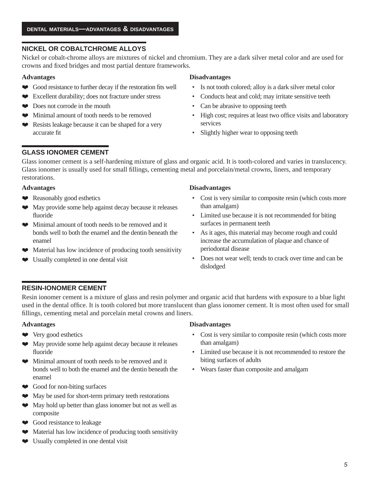### **NICKEL OR COBALTCHROME ALLOYS**

Nickel or cobalt-chrome alloys are mixtures of nickel and chromium. They are a dark silver metal color and are used for crowns and fixed bridges and most partial denture frameworks.

#### **Advantages**

- $\bullet$  Good resistance to further decay if the restoration fits well
- Excellent durability; does not fracture under stress
- **►** Does not corrode in the mouth
- Minimal amount of tooth needs to be removed
- Resists leakage because it can be shaped for a very accurate fit

#### **Disadvantages**

- Is not tooth colored; alloy is a dark silver metal color
- Conducts heat and cold; may irritate sensitive teeth
- Can be abrasive to opposing teeth
- High cost; requires at least two office visits and laboratory services
- Slightly higher wear to opposing teeth

#### **GLASS IONOMER CEMENT**

Glass ionomer cement is a self-hardening mixture of glass and organic acid. It is tooth-colored and varies in translucency. Glass ionomer is usually used for small fillings, cementing metal and porcelain/metal crowns, liners, and temporary restorations.

#### **Advantages**

- Reasonably good esthetics
- May provide some help against decay because it releases fluoride
- $\bullet$  Minimal amount of tooth needs to be removed and it bonds well to both the enamel and the dentin beneath the enamel
- Material has low incidence of producing tooth sensitivity
- $\bullet$  Usually completed in one dental visit

#### **Disadvantages**

- Cost is very similar to composite resin (which costs more than amalgam)
- Limited use because it is not recommended for biting surfaces in permanent teeth
- As it ages, this material may become rough and could increase the accumulation of plaque and chance of periodontal disease
- Does not wear well; tends to crack over time and can be dislodged

### **RESIN-IONOMER CEMENT**

Resin ionomer cement is a mixture of glass and resin polymer and organic acid that hardens with exposure to a blue light used in the dental office. It is tooth colored but more translucent than glass ionomer cement. It is most often used for small fillings, cementing metal and porcelain metal crowns and liners.

#### **Advantages**

- Very good esthetics
- May provide some help against decay because it releases fluoride
- Minimal amount of tooth needs to be removed and it bonds well to both the enamel and the dentin beneath the enamel
- **◆** Good for non-biting surfaces
- May be used for short-term primary teeth restorations
- May hold up better than glass ionomer but not as well as composite
- Good resistance to leakage
- Material has low incidence of producing tooth sensitivity
- $\bullet$  Usually completed in one dental visit

#### **Disadvantages**

- Cost is very similar to composite resin (which costs more than amalgam)
- Limited use because it is not recommended to restore the biting surfaces of adults
- Wears faster than composite and amalgam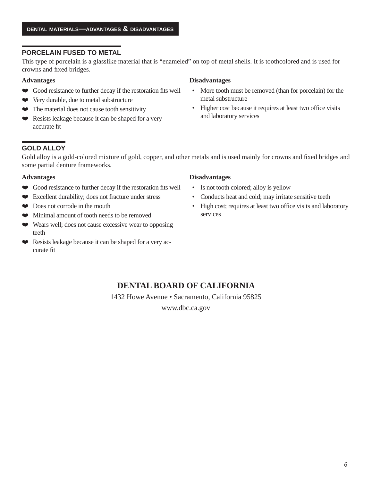#### **PORCELAIN FUSED TO METAL**

This type of porcelain is a glasslike material that is "enameled" on top of metal shells. It is toothcolored and is used for crowns and fixed bridges.

#### **Advantages**

- $\bullet$  Good resistance to further decay if the restoration fits well
- Very durable, due to metal substructure
- The material does not cause tooth sensitivity
- Resists leakage because it can be shaped for a very accurate fit

#### **Disadvantages**

- More tooth must be removed (than for porcelain) for the metal substructure
- Higher cost because it requires at least two office visits and laboratory services

### **GOLD ALLOY**

Gold alloy is a gold-colored mixture of gold, copper, and other metals and is used mainly for crowns and fixed bridges and some partial denture frameworks.

#### **Advantages**

- $\bullet$  Good resistance to further decay if the restoration fits well
- Excellent durability; does not fracture under stress
- **►** Does not corrode in the mouth
- $\bullet$  Minimal amount of tooth needs to be removed
- Wears well; does not cause excessive wear to opposing teeth
- Resists leakage because it can be shaped for a very accurate fit

#### **Disadvantages**

- Is not tooth colored; alloy is yellow
- Conducts heat and cold; may irritate sensitive teeth
- High cost; requires at least two office visits and laboratory services

# **DENTAL BOARD OF CALIFORNIA**

1432 Howe Avenue • Sacramento, California 95825

www.dbc.ca.gov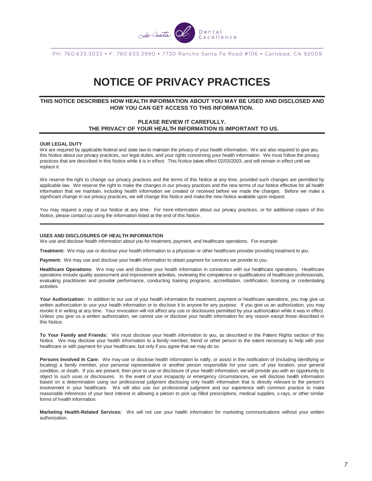

# **NOTICE OF PRIVACY PRACTICES**

#### **THIS NOTICE DESCRIBES HOW HEALTH INFORMATION ABOUT YOU MAY BE USED AND DISCLOSED AND HOW YOU CAN GET ACCESS TO THIS INFORMATION.**

#### **PLEASE REVIEW IT CAREFULLY. THE PRIVACY OF YOUR HEALTH INFORMATION IS IMPORTANT TO US.**

#### **OUR LEGAL DUTY**

We are required by applicable federal and state law to maintain the privacy of your health information. We are also required to give you this Notice about our privacy practices, our legal duties, and your rights concerning your health information. We must follow the privacy practices that are described in this Notice while it is in effect. This Notice takes effect 02/03/2003, and will remain in effect until we replace it.

We reserve the right to change our privacy practices and the terms of this Notice at any time, provided such changes are permitted by applicable law. We reserve the right to make the changes in our privacy practices and the new terms of our Notice effective for all health information that we maintain, including health information we created or received before we made the changes. Before we make a significant change in our privacy practices, we will change this Notice and make the new Notice available upon request.

You may request a copy of our Notice at any time. For more information about our privacy practices, or for additional copies of this Notice, please contact us using the information listed at the end of this Notice.

#### **USES AND DISCLOSURES OF HEALTH INFORMATION**

We use and disclose health information about you for treatment, payment, and healthcare operations. For example:

**Treatment:** We may use or disclose your health information to a physician or other healthcare provider providing treatment to you.

Payment: We may use and disclose your health information to obtain payment for services we provide to you.

**Healthcare Operations:** We may use and disclose your health information in connection with our healthcare operations. Healthcare operations include quality assessment and improvement activities, reviewing the competence or qualifications of healthcare professionals, evaluating practitioner and provider performance, conducting training programs, accreditation, certification, licensing or credentialing activities.

Your Authorization: In addition to our use of your health information for treatment, payment or healthcare operations, you may give us written authorization to use your health information or to disclose it to anyone for any purpose. If you give us an authorization, you may revoke it in writing at any time. Your revocation will not affect any use or disclosures permitted by your authorization while it was in effect. Unless you give us a written authorization, we cannot use or disclose your health information for any reason except those described in this Notice.

**To Your Family and Friends:** We must disclose your health information to you, as described in the Patient Rights section of this Notice. We may disclose your health information to a family member, friend or other person to the extent necessary to help with your healthcare or with payment for your healthcare, but only if you agree that we may do so.

**Persons Involved In Care:** We may use or disclose health information to notify, or assist in the notification of (including identifying or locating) a family member, your personal representative or another person responsible for your care, of your location, your general condition, or death. If you are present, then prior to use or disclosure of your health information, we will provide you with an opportunity to object to such uses or disclosures. In the event of your incapacity or emergency circumstances, we will disclose health information based on a determination using our professional judgment disclosing only health information that is directly relevant to the person's involvement in your healthcare. We will also use our professional judgment and our experience with common practice to make reasonable inferences of your best interest in allowing a person to pick up filled prescriptions, medical supplies, x-rays, or other similar forms of health information.

**Marketing Health-Related Services:** We will not use your health information for marketing communications without your written authorization.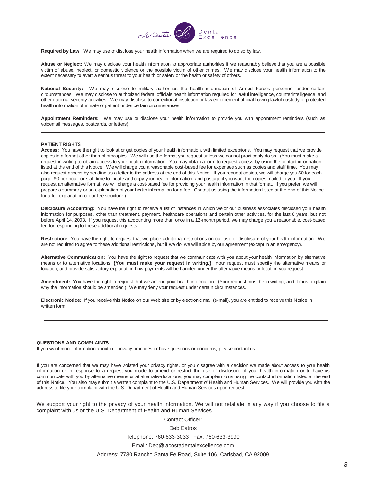

**Required by Law:** We may use or disclose your health information when we are required to do so by law.

**Abuse or Neglect:** We may disclose your health information to appropriate authorities if we reasonably believe that you are a possible victim of abuse, neglect, or domestic violence or the possible victim of other crimes. We may disclose your health information to the extent necessary to avert a serious threat to your health or safety or the health or safety of others.

**National Security:** We may disclose to military authorities the health information of Armed Forces personnel under certain circumstances. We may disclose to authorized federal officials health information required for lawful intelligence, counterintelligence, and other national security activities. We may disclose to correctional institution or law enforcement official having lawful custody of protected health information of inmate or patient under certain circumstances.

**Appointment Reminders:** We may use or disclose your health information to provide you with appointment reminders (such as voicemail messages, postcards, or letters).

#### **PATIENT RIGHTS**

**Access:** You have the right to look at or get copies of your health information, with limited exceptions. You may request that we provide copies in a format other than photocopies. We will use the format you request unless we cannot practicably do so. (You must make a request in writing to obtain access to your health information. You may obtain a form to request access by using the contact information listed at the end of this Notice. We will charge you a reasonable cost-based fee for expenses such as copies and staff time. You may also request access by sending us a letter to the address at the end of this Notice. If you request copies, we will charge you \$0 for each page, \$0 per hour for staff time to locate and copy your health information, and postage if you want the copies mailed to you. If you request an alternative format, we will charge a cost-based fee for providing your health information in that format. If you prefer, we will prepare a summary or an explanation of your health information for a fee. Contact us using the information listed at the end of this Notice for a full explanation of our fee structure.)

**Disclosure Accounting:** You have the right to receive a list of instances in which we or our business associates disclosed your health information for purposes, other than treatment, payment, healthcare operations and certain other activities, for the last 6 years, but not before April 14, 2003. If you request this accounting more than once in a 12-month period, we may charge you a reasonable, cost-based fee for responding to these additional requests.

**Restriction:** You have the right to request that we place additional restrictions on our use or disclosure of your health information. We are not required to agree to these additional restrictions, but if we do, we will abide by our agreement (except in an emergency).

**Alternative Communication:** You have the right to request that we communicate with you about your health information by alternative means or to alternative locations. **{You must make your request in writing.}** Your request must specify the alternative means or location, and provide satisfactory explanation how payments will be handled under the alternative means or location you request.

**Amendment:** You have the right to request that we amend your health information. (Your request must be in writing, and it must explain why the information should be amended.) We may deny your request under certain circumstances.

**Electronic Notice:** If you receive this Notice on our Web site or by electronic mail (e-mail), you are entitled to receive this Notice in written form.

#### **QUESTIONS AND COMPLAINTS**

If you want more information about our privacy practices or have questions or concerns, please contact us.

If you are concerned that we may have violated your privacy rights, or you disagree with a decision we made about access to your health information or in response to a request you made to amend or restrict the use or disclosure of your health information or to have us communicate with you by alternative means or at alternative locations, you may complain to us using the contact information listed at the end of this Notice. You also may submit a written complaint to the U.S. Department of Health and Human Services. We will provide you with the address to file your complaint with the U.S. Department of Health and Human Services upon request.

We support your right to the privacy of your health information. We will not retaliate in any way if you choose to file a complaint with us or the U.S. Department of Health and Human Services.

#### Contact Officer:

#### Deb Eatros

Telephone: 760-633-3033 Fax: 760-633-3990

Email: Deb@lacostadentalexcellence.com

Address: 7730 Rancho Santa Fe Road, Suite 106, Carlsbad, CA 92009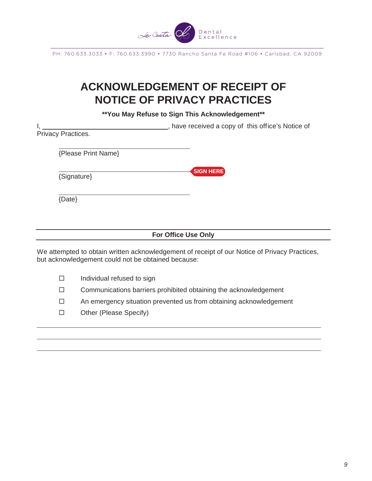

# **ACKNOWLEDGEMENT OF RECEIPT OF NOTICE OF PRIVACY PRACTICES**

**\*\*You May Refuse to Sign This Acknowledgement\*\***

I, , have received a copy of this office's Notice of Privacy Practices. {Please Print Name} {Signature} {Date} **SIGN HERE**

**For Office Use Only**

We attempted to obtain written acknowledgement of receipt of our Notice of Privacy Practices, but acknowledgement could not be obtained because:

- $\Box$  Individual refused to sign
- $\square$  Communications barriers prohibited obtaining the acknowledgement
- $\Box$  An emergency situation prevented us from obtaining acknowledgement
- □ Other (Please Specify)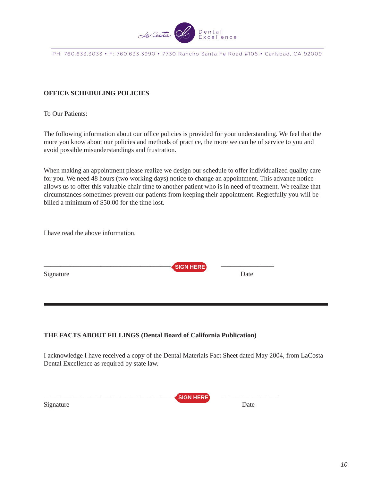

#### **OFFICE SCHEDULING POLICIES**

To Our Patients:

The following information about our office policies is provided for your understanding. We feel that the more you know about our policies and methods of practice, the more we can be of service to you and avoid possible misunderstandings and frustration.

When making an appointment please realize we design our schedule to offer individualized quality care for you. We need 48 hours (two working days) notice to change an appointment. This advance notice allows us to offer this valuable chair time to another patient who is in need of treatment. We realize that circumstances sometimes prevent our patients from keeping their appointment. Regretfully you will be billed a minimum of \$50.00 for the time lost.

I have read the above information.

\_\_\_\_\_\_\_\_\_\_\_\_\_\_\_\_\_\_\_\_\_\_\_\_\_\_\_\_\_\_\_\_\_\_\_\_\_\_ \_\_\_\_\_\_\_\_\_\_\_\_\_\_\_\_ Signature Date **SIGN HERE**

#### **THE FACTS ABOUT FILLINGS (Dental Board of California Publication)**

I acknowledge I have received a copy of the Dental Materials Fact Sheet dated May 2004, from LaCosta Dental Excellence as required by state law.

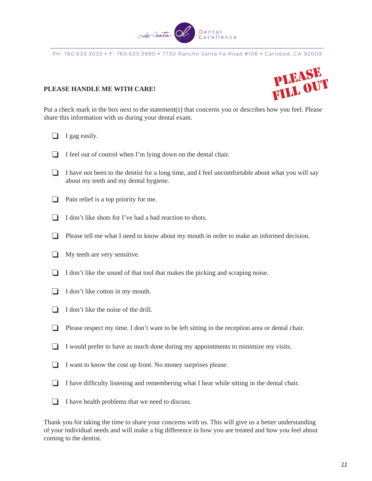

#### **PLEASE HANDLE ME WITH CARE!**



Put a check mark in the box next to the statement(s) that concerns you or describes how you feel. Please share this information with us during your dental exam.

- $\Box$  I gag easily.
- $\Box$  I feel out of control when I'm lying down on the dental chair.
- I have not been to the dentist for a long time, and I feel uncomfortable about what you will say about my teeth and my dental hygiene.
- $\Box$  Pain relief is a top priority for me.
- $\Box$  I don't like shots for I've had a bad reaction to shots.
- **Please tell me what I need to know about my mouth in order to make an informed decision.**
- $\Box$  My teeth are very sensitive.
- $\Box$  I don't like the sound of that tool that makes the picking and scraping noise.
- $\Box$  I don't like cotton in my mouth.
- $\Box$  I don't like the noise of the drill.
- **Please respect my time.** I don't want to be left sitting in the reception area or dental chair.
- $\Box$  I would prefer to have as much done during my appointments to minimize my visits.
- $\Box$  I want to know the cost up front. No money surprises please.
- I have difficulty listening and remembering what I hear while sitting in the dental chair.
- $\Box$  I have health problems that we need to discuss.

Thank you for taking the time to share your concerns with us. This will give us a better understanding of your individual needs and will make a big difference in how you are treated and how you feel about coming to the dentist.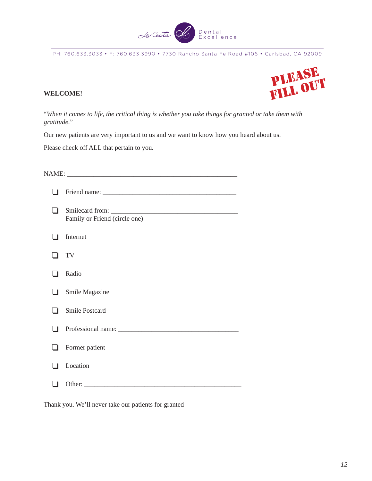

#### **WELCOME!**

"*When it comes to life, the critical thing is whether you take things for granted or take them with gratitude*."

Our new patients are very important to us and we want to know how you heard about us.

Please check off ALL that pertain to you.

| $\mathbf{r}$ |                               |  |  |  |
|--------------|-------------------------------|--|--|--|
|              | Family or Friend (circle one) |  |  |  |
|              | Internet                      |  |  |  |
|              | TV                            |  |  |  |
|              | Radio                         |  |  |  |
|              | Smile Magazine                |  |  |  |
|              | <b>Smile Postcard</b>         |  |  |  |
|              |                               |  |  |  |
|              | Former patient                |  |  |  |
|              | $\Box$ Location               |  |  |  |
|              | Other:                        |  |  |  |

Thank you. We'll never take our patients for granted

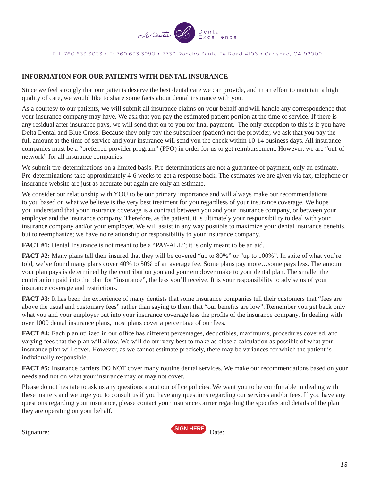

#### **INFORMATION FOR OUR PATIENTS WITH DENTAL INSURANCE**

Since we feel strongly that our patients deserve the best dental care we can provide, and in an effort to maintain a high quality of care, we would like to share some facts about dental insurance with you.

As a courtesy to our patients, we will submit all insurance claims on your behalf and will handle any correspondence that your insurance company may have. We ask that you pay the estimated patient portion at the time of service. If there is any residual after insurance pays, we will send that on to you for final payment. The only exception to this is if you have Delta Dental and Blue Cross. Because they only pay the subscriber (patient) not the provider, we ask that you pay the full amount at the time of service and your insurance will send you the check within 10-14 business days. All insurance companies must be a "preferred provider program" (PPO) in order for us to get reimbursement. However, we are "out-ofnetwork" for all insurance companies.

We submit pre-determinations on a limited basis. Pre-determinations are not a guarantee of payment, only an estimate. Pre-determinations take approximately 4-6 weeks to get a response back. The estimates we are given via fax, telephone or insurance website are just as accurate but again are only an estimate.

We consider our relationship with YOU to be our primary importance and will always make our recommendations to you based on what we believe is the very best treatment for you regardless of your insurance coverage. We hope you understand that your insurance coverage is a contract between you and your insurance company, or between your employer and the insurance company. Therefore, as the patient, it is ultimately your responsibility to deal with your insurance company and/or your employer. We will assist in any way possible to maximize your dental insurance benefits, but to reemphasize; we have no relationship or responsibility to your insurance company.

**FACT #1:** Dental Insurance is not meant to be a "PAY-ALL"; it is only meant to be an aid.

**FACT #2:** Many plans tell their insured that they will be covered "up to 80%" or "up to 100%". In spite of what you're told, we've found many plans cover 40% to 50% of an average fee. Some plans pay more…some pays less. The amount your plan pays is determined by the contribution you and your employer make to your dental plan. The smaller the contribution paid into the plan for "insurance", the less you'll receive. It is your responsibility to advise us of your insurance coverage and restrictions.

**FACT #3:** It has been the experience of many dentists that some insurance companies tell their customers that "fees are above the usual and customary fees" rather than saying to them that "our benefits are low". Remember you get back only what you and your employer put into your insurance coverage less the profits of the insurance company. In dealing with over 1000 dental insurance plans, most plans cover a percentage of our fees.

**FACT #4:** Each plan utilized in our office has different percentages, deductibles, maximums, procedures covered, and varying fees that the plan will allow. We will do our very best to make as close a calculation as possible of what your insurance plan will cover. However, as we cannot estimate precisely, there may be variances for which the patient is individually responsible.

**FACT #5:** Insurance carriers DO NOT cover many routine dental services. We make our recommendations based on your needs and not on what your insurance may or may not cover.

Please do not hesitate to ask us any questions about our office policies. We want you to be comfortable in dealing with these matters and we urge you to consult us if you have any questions regarding our services and/or fees. If you have any questions regarding your insurance, please contact your insurance carrier regarding the specifics and details of the plan they are operating on your behalf.

Signature: <u>Signature:</u>  $\qquad \qquad$  Date: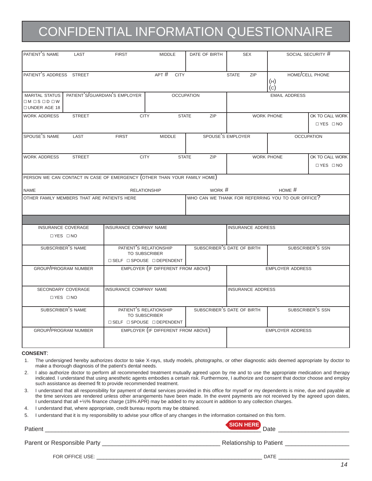# CONFIDENTIAL INFORMATION QUESTIONNAIRE

| PATIENT'S NAME                                                           | LAST                          | <b>FIRST</b>                                                             | MIDDLE                                                                 | DATE OF BIRTH                                  | <b>SEX</b>                                        |                   | SOCIAL SECURITY #             |
|--------------------------------------------------------------------------|-------------------------------|--------------------------------------------------------------------------|------------------------------------------------------------------------|------------------------------------------------|---------------------------------------------------|-------------------|-------------------------------|
| PATIENT'S ADDRESS STREET                                                 |                               |                                                                          | APT # CITY                                                             |                                                | <b>STATE</b><br>ZIP                               | (H)<br>(c)        | HOME/CELL PHONE               |
| <b>MARITAL STATUS</b><br>$\Box M \Box S \Box D \Box W$<br>□ UNDER AGE 18 | PATIENT'S/GUARDIAN'S EMPLOYER |                                                                          | <b>OCCUPATION</b>                                                      |                                                | <b>EMAIL ADDRESS</b>                              |                   |                               |
| <b>WORK ADDRESS</b>                                                      | <b>STREET</b>                 |                                                                          | <b>CITY</b><br><b>STATE</b>                                            | ZIP                                            |                                                   | <b>WORK PHONE</b> | OK TO CALL WORK<br>□ YES □ NO |
| SPOUSE'S NAME                                                            | LAST                          | <b>FIRST</b>                                                             | <b>MIDDLE</b>                                                          |                                                | SPOUSE'S EMPLOYER                                 |                   | <b>OCCUPATION</b>             |
| <b>WORK ADDRESS</b>                                                      | <b>STREET</b>                 | <b>CITY</b>                                                              | <b>STATE</b>                                                           | ZIP                                            |                                                   | <b>WORK PHONE</b> | OK TO CALL WORK<br>□ YES □ NO |
| <b>NAME</b>                                                              |                               | PERSON WE CAN CONTACT IN CASE OF EMERGENCY (OTHER THAN YOUR FAMILY HOME) | <b>RELATIONSHIP</b>                                                    | WORK $#$                                       |                                                   | HOME $#$          |                               |
| OTHER FAMILY MEMBERS THAT ARE PATIENTS HERE                              |                               |                                                                          |                                                                        |                                                | WHO CAN WE THANK FOR REFERRING YOU TO OUR OFFICE? |                   |                               |
|                                                                          |                               |                                                                          |                                                                        |                                                |                                                   |                   |                               |
| INSURANCE COVERAGE<br>□ YES □ NO                                         |                               | INSURANCE COMPANY NAME                                                   |                                                                        |                                                | <b>INSURANCE ADDRESS</b>                          |                   |                               |
| SUBSCRIBER'S NAME                                                        |                               | PATIENT'S RELATIONSHIP<br>TO SUBSCRIBER<br>□ SELF □ SPOUSE □ DEPENDENT   |                                                                        | SUBSCRIBER'S DATE OF BIRTH<br>SUBSCRIBER'S SSN |                                                   |                   |                               |
| <b>GROUP/PROGRAM NUMBER</b>                                              |                               | EMPLOYER (IF DIFFERENT FROM ABOVE)                                       |                                                                        | <b>EMPLOYER ADDRESS</b>                        |                                                   |                   |                               |
| SECONDARY COVERAGE<br>$\Box$ YES $\Box$ NO                               |                               | <b>INSURANCE COMPANY NAME</b>                                            |                                                                        | <b>INSURANCE ADDRESS</b>                       |                                                   |                   |                               |
| SUBSCRIBER'S NAME                                                        |                               |                                                                          | PATIENT'S RELATIONSHIP<br>TO SUBSCRIBER<br>□ SELF □ SPOUSE □ DEPENDENT |                                                | SUBSCRIBER'S DATE OF BIRTH<br>SUBSCRIBER'S SSN    |                   |                               |
| <b>GROUP/PROGRAM NUMBER</b>                                              |                               |                                                                          | EMPLOYER (IF DIFFERENT FROM ABOVE)                                     |                                                | <b>EMPLOYER ADDRESS</b>                           |                   |                               |

#### **CONSENT**:

- 1. The undersigned hereby authorizes doctor to take X-rays, study models, photographs, or other diagnostic aids deemed appropriate by doctor to make a thorough diagnosis of the patient's dental needs.
- 2. I also authorize doctor to perform all recommended treatment mutually agreed upon by me and to use the appropriate medication and therapy indicated. I understand that using anesthetic agents embodies a certain risk. Furthermore, I authorize and consent that doctor choose and employ such assistance as deemed fit to provide recommended treatment.
- 3. I understand that all responsibility for payment of dental services provided in this office for myself or my dependents is mine, due and payable at the time services are rendered unless other arrangements have been made. In the event payments are not received by the agreed upon dates, I understand that all +½% finance charge (18% APR) may be added to my account in addition to any collection charges.
- 4. I understand that, where appropriate, credit bureau reports may be obtained.
- 5. I understand that it is my responsibility to advise your office of any changes in the information contained on this form.

Patient \_\_\_\_\_\_\_\_\_\_\_\_\_\_\_\_\_\_\_\_\_\_\_\_\_\_\_\_\_\_\_\_\_\_\_\_\_\_\_\_\_\_\_\_\_\_\_\_\_\_\_\_\_\_\_\_\_\_\_\_\_\_\_\_ Date \_\_\_\_\_\_\_\_\_\_\_\_\_\_\_\_\_\_\_\_\_ **SIGN HERE**



FOR OFFICE USE: \_\_\_\_\_\_\_\_\_\_\_\_\_\_\_\_\_\_\_\_\_\_\_\_\_\_\_\_\_\_\_\_\_\_\_\_\_\_\_\_\_\_\_\_\_\_\_\_\_ DATE \_\_\_\_\_\_\_\_\_\_\_\_\_\_\_\_\_\_\_\_\_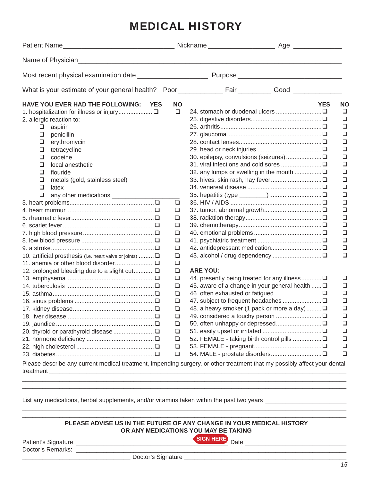# MEDICAL HISTORY

| HAVE YOU EVER HAD THE FOLLOWING:<br><b>YES</b>         | <b>NO</b> | <b>YES</b>                                                                                                               | <b>NO</b> |
|--------------------------------------------------------|-----------|--------------------------------------------------------------------------------------------------------------------------|-----------|
|                                                        | $\Box$    |                                                                                                                          | ❏         |
| 2. allergic reaction to:                               |           |                                                                                                                          | $\Box$    |
| aspirin<br>□                                           |           |                                                                                                                          | □         |
| penicillin<br>❏                                        |           |                                                                                                                          | $\Box$    |
| erythromycin<br>⊔                                      |           |                                                                                                                          | $\Box$    |
| tetracycline<br>❏                                      |           |                                                                                                                          | $\Box$    |
| codeine<br>❏                                           |           |                                                                                                                          | ❏         |
| local anesthetic<br>❏                                  |           |                                                                                                                          | ❏         |
| flouride<br>❏                                          |           |                                                                                                                          | ❏         |
| metals (gold, stainless steel)<br>⊔                    |           |                                                                                                                          | $\Box$    |
| ❏<br>latex                                             |           |                                                                                                                          | $\Box$    |
| $\Box$                                                 |           |                                                                                                                          | $\Box$    |
|                                                        | ❏         |                                                                                                                          | $\Box$    |
|                                                        | $\Box$    |                                                                                                                          | $\Box$    |
|                                                        | ❏         |                                                                                                                          | $\Box$    |
|                                                        | ❏         |                                                                                                                          | $\Box$    |
|                                                        | ❏         |                                                                                                                          | $\Box$    |
|                                                        | ❏         |                                                                                                                          | $\Box$    |
|                                                        | $\Box$    |                                                                                                                          | $\Box$    |
| 10. artificial prosthesis (i.e. heart valve or joints) | $\Box$    |                                                                                                                          | ❏         |
|                                                        | $\Box$    |                                                                                                                          |           |
| 12. prolonged bleeding due to a slight cut             | ❏         | <b>ARE YOU:</b>                                                                                                          |           |
|                                                        | ❏         | 44. presently being treated for any illness                                                                              | ⊔         |
|                                                        | ❏         | 45. aware of a change in your general health                                                                             | ❏         |
|                                                        | $\Box$    |                                                                                                                          | ❏         |
|                                                        | ❏         |                                                                                                                          | $\Box$    |
|                                                        | ❏         | 48. a heavy smoker (1 pack or more a day)                                                                                | ❏         |
|                                                        | $\Box$    |                                                                                                                          | ⊔         |
|                                                        | ⊔         |                                                                                                                          | ⊔         |
|                                                        | ❏         |                                                                                                                          | ⊔         |
|                                                        | $\Box$    |                                                                                                                          | u         |
|                                                        | ❏         |                                                                                                                          | ⊔         |
|                                                        | $\Box$    |                                                                                                                          | ❏         |
| treatment                                              |           | Please describe any current medical treatment, impending surgery, or other treatment that my possibly affect your dental |           |

List any medications, herbal supplements, and/or vitamins taken within the past two years \_\_\_\_\_\_\_\_\_\_\_\_\_\_\_\_\_\_\_\_

### **PLEASE ADVISE US IN THE FUTURE OF ANY CHANGE IN YOUR MEDICAL HISTORY OR ANY MEDICATIONS YOU MAY BE TAKING**

 $\_$  ,  $\_$  ,  $\_$  ,  $\_$  ,  $\_$  ,  $\_$  ,  $\_$  ,  $\_$  ,  $\_$  ,  $\_$  ,  $\_$  ,  $\_$  ,  $\_$  ,  $\_$  ,  $\_$  ,  $\_$  ,  $\_$  ,  $\_$  ,  $\_$  ,  $\_$  ,  $\_$  ,  $\_$  ,  $\_$  ,  $\_$  ,  $\_$  ,  $\_$  ,  $\_$  ,  $\_$  ,  $\_$  ,  $\_$  ,  $\_$  ,  $\_$  ,  $\_$  ,  $\_$  ,  $\_$  ,  $\_$  ,  $\_$  ,

 $\_$  ,  $\_$  ,  $\_$  ,  $\_$  ,  $\_$  ,  $\_$  ,  $\_$  ,  $\_$  ,  $\_$  ,  $\_$  ,  $\_$  ,  $\_$  ,  $\_$  ,  $\_$  ,  $\_$  ,  $\_$  ,  $\_$  ,  $\_$  ,  $\_$  ,  $\_$  ,  $\_$  ,  $\_$  ,  $\_$  ,  $\_$  ,  $\_$  ,  $\_$  ,  $\_$  ,  $\_$  ,  $\_$  ,  $\_$  ,  $\_$  ,  $\_$  ,  $\_$  ,  $\_$  ,  $\_$  ,  $\_$  ,  $\_$  ,  $\_$  ,  $\_$  ,  $\_$  ,  $\_$  ,  $\_$  ,  $\_$  ,  $\_$  ,  $\_$  ,  $\_$  ,  $\_$  ,  $\_$  ,  $\_$  ,  $\_$  ,  $\_$  ,  $\_$  ,  $\_$  ,  $\_$  ,  $\_$  ,  $\_$  ,  $\_$  ,  $\_$  ,  $\_$  ,  $\_$  ,  $\_$  ,  $\_$  ,  $\_$  ,  $\_$  ,  $\_$  ,  $\_$  ,  $\_$  ,  $\_$  ,  $\_$  ,  $\_$  ,  $\_$  ,  $\_$  ,  $\_$  ,  $\_$  ,

| Patient's Signature |  | SIGN HERE Date |  |
|---------------------|--|----------------|--|
|---------------------|--|----------------|--|

 $\mathcal{L} = \{ \mathcal{L} \mid \mathcal{L} \text{ and } \mathcal{L} \text{ and } \mathcal{L} \text{ and } \mathcal{L} \text{ and } \mathcal{L} \text{ and } \mathcal{L} \text{ and } \mathcal{L} \text{ and } \mathcal{L} \text{ and } \mathcal{L} \text{ and } \mathcal{L} \text{ and } \mathcal{L} \text{ and } \mathcal{L} \text{ and } \mathcal{L} \text{ and } \mathcal{L} \text{ and } \mathcal{L} \text{ and } \mathcal{L} \text{ and } \mathcal{L} \text{ and } \mathcal{L} \text{ and } \mathcal{L$ 

 $\_$  ,  $\_$  ,  $\_$  ,  $\_$  ,  $\_$  ,  $\_$  ,  $\_$  ,  $\_$  ,  $\_$  ,  $\_$  ,  $\_$  ,  $\_$  ,  $\_$  ,  $\_$  ,  $\_$  ,  $\_$  ,  $\_$  ,  $\_$  ,  $\_$  ,  $\_$  ,  $\_$  ,  $\_$  ,  $\_$  ,  $\_$  ,  $\_$  ,  $\_$  ,  $\_$  ,  $\_$  ,  $\_$  ,  $\_$  ,  $\_$  ,  $\_$  ,  $\_$  ,  $\_$  ,  $\_$  ,  $\_$  ,  $\_$  ,

| Patient's Signature |
|---------------------|
| Doctor's Remarks:   |

\_\_\_\_\_\_\_\_\_\_\_\_\_\_\_\_\_\_\_\_\_\_\_\_\_\_\_\_\_\_\_\_ Doctor's Signature \_\_\_\_\_\_\_\_\_\_\_\_\_\_\_\_\_\_\_\_\_\_\_\_\_\_\_\_\_\_\_\_\_\_\_\_\_\_\_\_\_\_\_\_\_\_\_\_